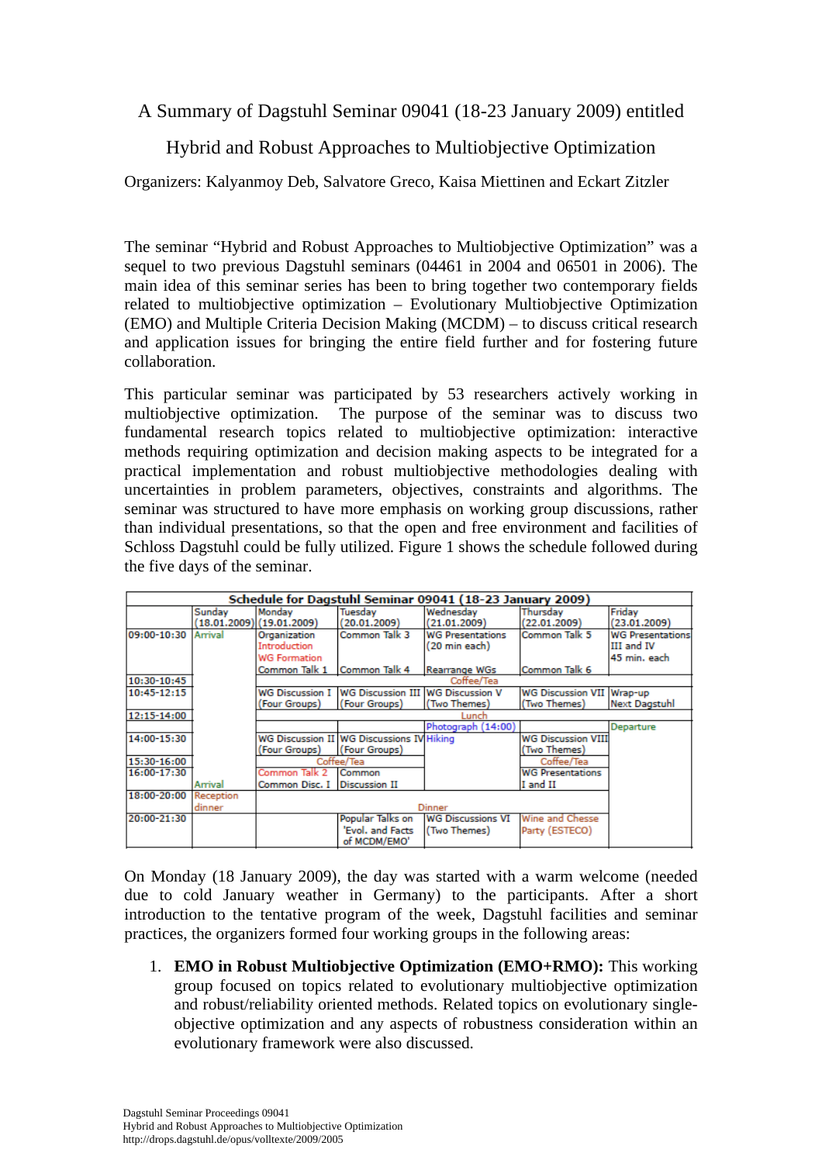A Summary of Dagstuhl Seminar 09041 (18-23 January 2009) entitled

Hybrid and Robust Approaches to Multiobjective Optimization

Organizers: Kalyanmoy Deb, Salvatore Greco, Kaisa Miettinen and Eckart Zitzler

The seminar "Hybrid and Robust Approaches to Multiobjective Optimization" was a sequel to two previous Dagstuhl seminars (04461 in 2004 and 06501 in 2006). The main idea of this seminar series has been to bring together two contemporary fields related to multiobjective optimization – Evolutionary Multiobjective Optimization (EMO) and Multiple Criteria Decision Making (MCDM) – to discuss critical research and application issues for bringing the entire field further and for fostering future collaboration.

This particular seminar was participated by 53 researchers actively working in multiobjective optimization. The purpose of the seminar was to discuss two fundamental research topics related to multiobjective optimization: interactive methods requiring optimization and decision making aspects to be integrated for a practical implementation and robust multiobjective methodologies dealing with uncertainties in problem parameters, objectives, constraints and algorithms. The seminar was structured to have more emphasis on working group discussions, rather than individual presentations, so that the open and free environment and facilities of Schloss Dagstuhl could be fully utilized. Figure 1 shows the schedule followed during the five days of the seminar.

| Schedule for Dagstuhl Seminar 09041 (18-23 January 2009) |           |                                                     |                                                                   |                                          |                                           |                                                       |
|----------------------------------------------------------|-----------|-----------------------------------------------------|-------------------------------------------------------------------|------------------------------------------|-------------------------------------------|-------------------------------------------------------|
|                                                          | Sundav    | Mondav<br>(18.01.2009)(19.01.2009)                  | Tuesdav<br>(20.01.2009)                                           | Wednesday<br>(21.01.2009)                | Thursday<br>(22.01.2009)                  | Friday<br>(23.01.2009)                                |
| 09:00-10:30                                              | Arrival   | Organization<br>Introduction<br><b>WG Formation</b> | Common Talk 3                                                     | <b>WG Presentations</b><br>(20 min each) | Common Talk 5                             | <b>WG Presentations</b><br>III and IV<br>45 min. each |
|                                                          |           | Common Talk 1                                       | Common Talk 4                                                     | Rearrange WGs                            | Common Talk 6                             |                                                       |
| 10:30-10:45                                              |           | Coffee/Tea                                          |                                                                   |                                          |                                           |                                                       |
| 10:45-12:15                                              |           | <b>WG Discussion I</b>                              | <b>WG Discussion III</b>                                          | <b>WG Discussion V</b>                   | <b>WG Discussion VII</b>                  | Wrap-up                                               |
|                                                          |           | (Four Groups)                                       | (Four Groups)                                                     | (Two Themes)                             | (Two Themes)                              | <b>Next Dagstuhl</b>                                  |
| 12:15-14:00                                              |           | Lunch                                               |                                                                   |                                          |                                           |                                                       |
|                                                          |           |                                                     |                                                                   | Photograph (14:00)                       |                                           | Departure                                             |
| 14:00-15:30                                              |           | (Four Groups)                                       | <b>WG Discussion II WG Discussions IV Hiking</b><br>(Four Groups) |                                          | <b>WG Discussion VIII</b><br>(Two Themes) |                                                       |
| 15:30-16:00                                              |           | Coffee/Tea                                          |                                                                   |                                          | Coffee/Tea                                |                                                       |
| 16:00-17:30                                              |           | Common Talk 2                                       | Common                                                            |                                          | <b>WG Presentations</b>                   |                                                       |
|                                                          | Arrival   | Common Disc, I Discussion II                        |                                                                   |                                          | I and II                                  |                                                       |
| 18:00-20:00                                              | Reception |                                                     |                                                                   |                                          |                                           |                                                       |
|                                                          | dinner    | <b>Dinner</b>                                       |                                                                   |                                          |                                           |                                                       |
| 20:00-21:30                                              |           |                                                     | Popular Talks on                                                  | <b>WG Discussions VI</b>                 | Wine and Chesse                           |                                                       |
|                                                          |           |                                                     | 'Evol. and Facts<br>of MCDM/EMO'                                  | (Two Themes)                             | Party (ESTECO)                            |                                                       |

On Monday (18 January 2009), the day was started with a warm welcome (needed due to cold January weather in Germany) to the participants. After a short introduction to the tentative program of the week, Dagstuhl facilities and seminar practices, the organizers formed four working groups in the following areas:

1. **EMO in Robust Multiobjective Optimization (EMO+RMO):** This working group focused on topics related to evolutionary multiobjective optimization and robust/reliability oriented methods. Related topics on evolutionary singleobjective optimization and any aspects of robustness consideration within an evolutionary framework were also discussed.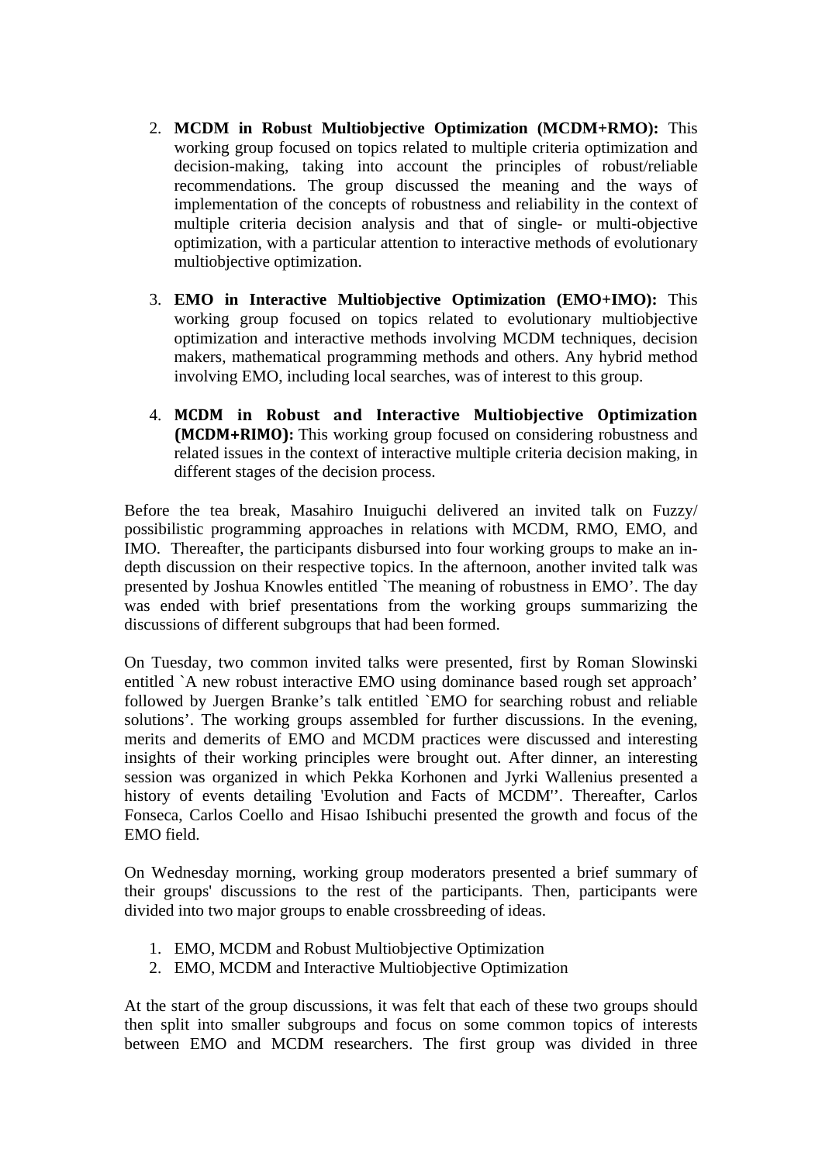- 2. **MCDM in Robust Multiobjective Optimization (MCDM+RMO):** This working group focused on topics related to multiple criteria optimization and decision-making, taking into account the principles of robust/reliable recommendations. The group discussed the meaning and the ways of implementation of the concepts of robustness and reliability in the context of multiple criteria decision analysis and that of single- or multi-objective optimization, with a particular attention to interactive methods of evolutionary multiobjective optimization.
- 3. **EMO in Interactive Multiobjective Optimization (EMO+IMO):** This working group focused on topics related to evolutionary multiobjective optimization and interactive methods involving MCDM techniques, decision makers, mathematical programming methods and others. Any hybrid method involving EMO, including local searches, was of interest to this group.
- 4. **MCDM in Robust and Interactive Multiobjective Optimization (MCDM+RIMO):** This working group focused on considering robustness and related issues in the context of interactive multiple criteria decision making, in different stages of the decision process.

Before the tea break, Masahiro Inuiguchi delivered an invited talk on Fuzzy/ possibilistic programming approaches in relations with MCDM, RMO, EMO, and IMO. Thereafter, the participants disbursed into four working groups to make an indepth discussion on their respective topics. In the afternoon, another invited talk was presented by Joshua Knowles entitled `The meaning of robustness in EMO'. The day was ended with brief presentations from the working groups summarizing the discussions of different subgroups that had been formed.

On Tuesday, two common invited talks were presented, first by Roman Slowinski entitled `A new robust interactive EMO using dominance based rough set approach' followed by Juergen Branke's talk entitled `EMO for searching robust and reliable solutions'. The working groups assembled for further discussions. In the evening, merits and demerits of EMO and MCDM practices were discussed and interesting insights of their working principles were brought out. After dinner, an interesting session was organized in which Pekka Korhonen and Jyrki Wallenius presented a history of events detailing 'Evolution and Facts of MCDM''. Thereafter, Carlos Fonseca, Carlos Coello and Hisao Ishibuchi presented the growth and focus of the EMO field.

On Wednesday morning, working group moderators presented a brief summary of their groups' discussions to the rest of the participants. Then, participants were divided into two major groups to enable crossbreeding of ideas.

- 1. EMO, MCDM and Robust Multiobjective Optimization
- 2. EMO, MCDM and Interactive Multiobjective Optimization

At the start of the group discussions, it was felt that each of these two groups should then split into smaller subgroups and focus on some common topics of interests between EMO and MCDM researchers. The first group was divided in three